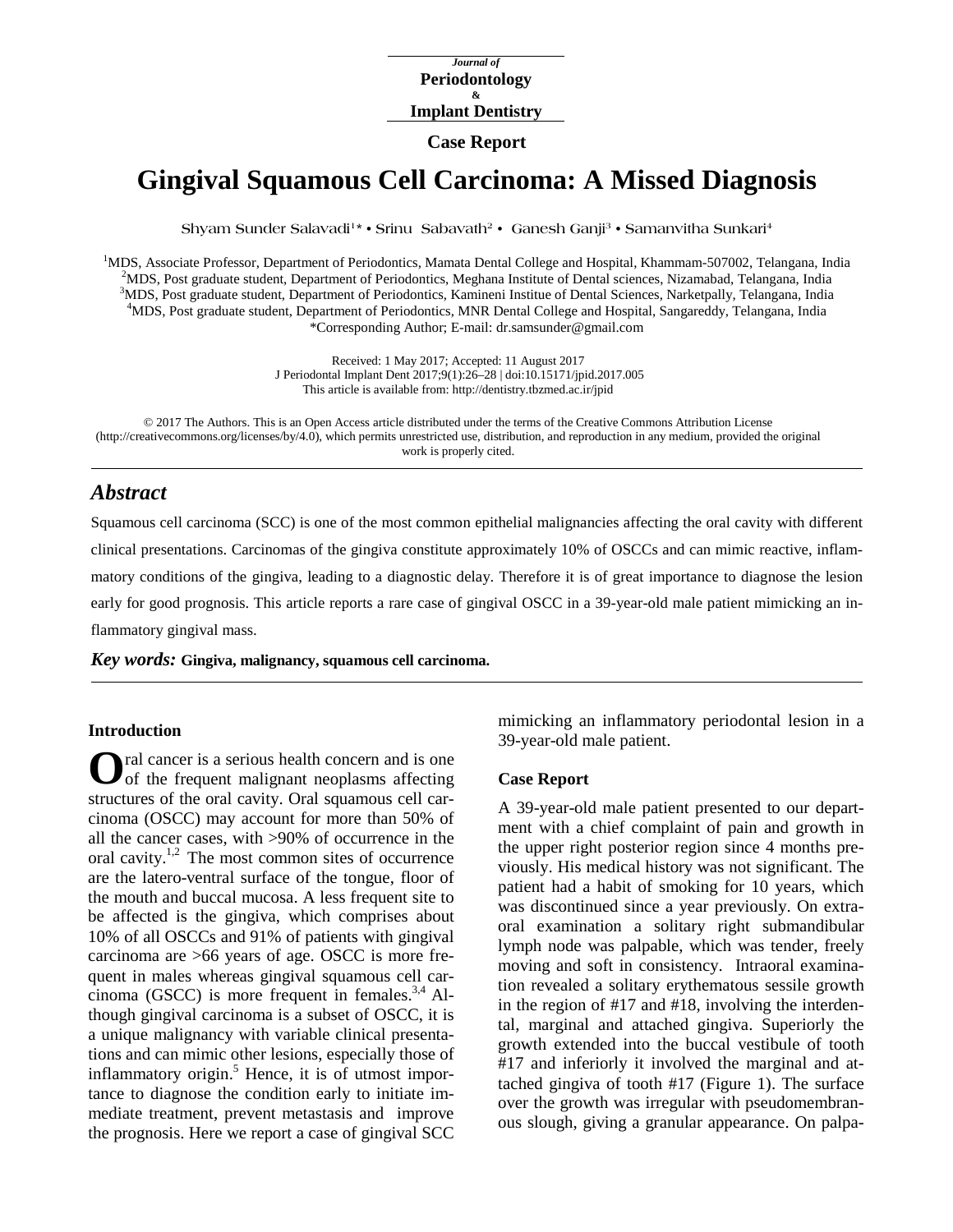*Journal of* **Periodontology & Implant Dentistry**

# **Case Report**

# **Gingival Squamous Cell Carcinoma: A Missed Diagnosis**

**Shyam Sunder Salavadi1\* • Srinu Sabavath2 • Ganesh Ganji3 • Samanvitha Sunkari4**

<sup>1</sup>MDS, Associate Professor, Department of Periodontics, Mamata Dental College and Hospital, Khammam-507002, Telangana, India <sup>2</sup>MDS, Post graduate student. Department of Periodontics, Meghana Institute of Dental sciences, MDS, Post graduate student, Department of Periodontics, Meghana Institute of Dental sciences, Nizamabad, Telangana, India 3 MDS, Post graduate student, Department of Periodontics, Kamineni Institue of Dental Sciences, Narketpally, Telangana, India 4MDS, Post graduate student. Department of Periodontics, MNP Dental College and Hospital, Sangarad MDS, Post graduate student, Department of Periodontics, MNR Dental College and Hospital, Sangareddy, Telangana, India \*Corresponding Author; E-mail: dr.samsunder@gmail.com

> Received: 1 May 2017; Accepted: 11 August 2017 J Periodontal Implant Dent 2017;9(1):26–28 | [doi:10.15171/jpid.2017.005](http://dx.doi.org/10.15171/jpid.2017.005) This article is available from:<http://dentistry.tbzmed.ac.ir/jpid>

© 2017 The Authors. This is an Open Access article distributed under the terms of the Creative Commons Attribution License [\(http://creativecommons.org/licenses/by/4.0\)](http://creativecommons.org/licenses/by/4.0), which permits unrestricted use, distribution, and reproduction in any medium, provided the original work is properly cited.

# *Abstract*

Squamous cell carcinoma (SCC) is one of the most common epithelial malignancies affecting the oral cavity with different clinical presentations. Carcinomas of the gingiva constitute approximately 10% of OSCCs and can mimic reactive, inflammatory conditions of the gingiva, leading to a diagnostic delay. Therefore it is of great importance to diagnose the lesion early for good prognosis. This article reports a rare case of gingival OSCC in a 39-year-old male patient mimicking an inflammatory gingival mass.

*Key words:* **Gingiva, malignancy, squamous cell carcinoma.** 

### **Introduction**

ral cancer is a serious health concern and is one of the frequent malignant neoplasms affecting structures of the oral cavity. Oral squamous cell carcinoma (OSCC) may account for more than 50% of all the cancer cases, with >90% of occurrence in the oral cavity.<sup>1,2</sup> The most common sites of occurrence are the latero-ventral surface of the tongue, floor of the mouth and buccal mucosa. A less frequent site to be affected is the gingiva, which comprises about 10% of all OSCCs and 91% of patients with gingival carcinoma are >66 years of age. OSCC is more frequent in males whereas gingival squamous cell carcinoma (GSCC) is more frequent in females. $3,4$  Although gingival carcinoma is a subset of OSCC, it is a unique malignancy with variable clinical presentations and can mimic other lesions, especially those of inflammatory origin. $<sup>5</sup>$  Hence, it is of utmost impor-</sup> tance to diagnose the condition early to initiate immediate treatment, prevent metastasis and improve the prognosis. Here we report a case of gingival SCC **O**

mimicking an inflammatory periodontal lesion in a 39-year-old male patient.

#### **Case Report**

A 39-year-old male patient presented to our department with a chief complaint of pain and growth in the upper right posterior region since 4 months previously. His medical history was not significant. The patient had a habit of smoking for 10 years, which was discontinued since a year previously. On extraoral examination a solitary right submandibular lymph node was palpable, which was tender, freely moving and soft in consistency. Intraoral examination revealed a solitary erythematous sessile growth in the region of #17 and #18, involving the interdental, marginal and attached gingiva. Superiorly the growth extended into the buccal vestibule of tooth #17 and inferiorly it involved the marginal and attached gingiva of tooth #17 (Figure 1). The surface over the growth was irregular with pseudomembranous slough, giving a granular appearance. On palpa-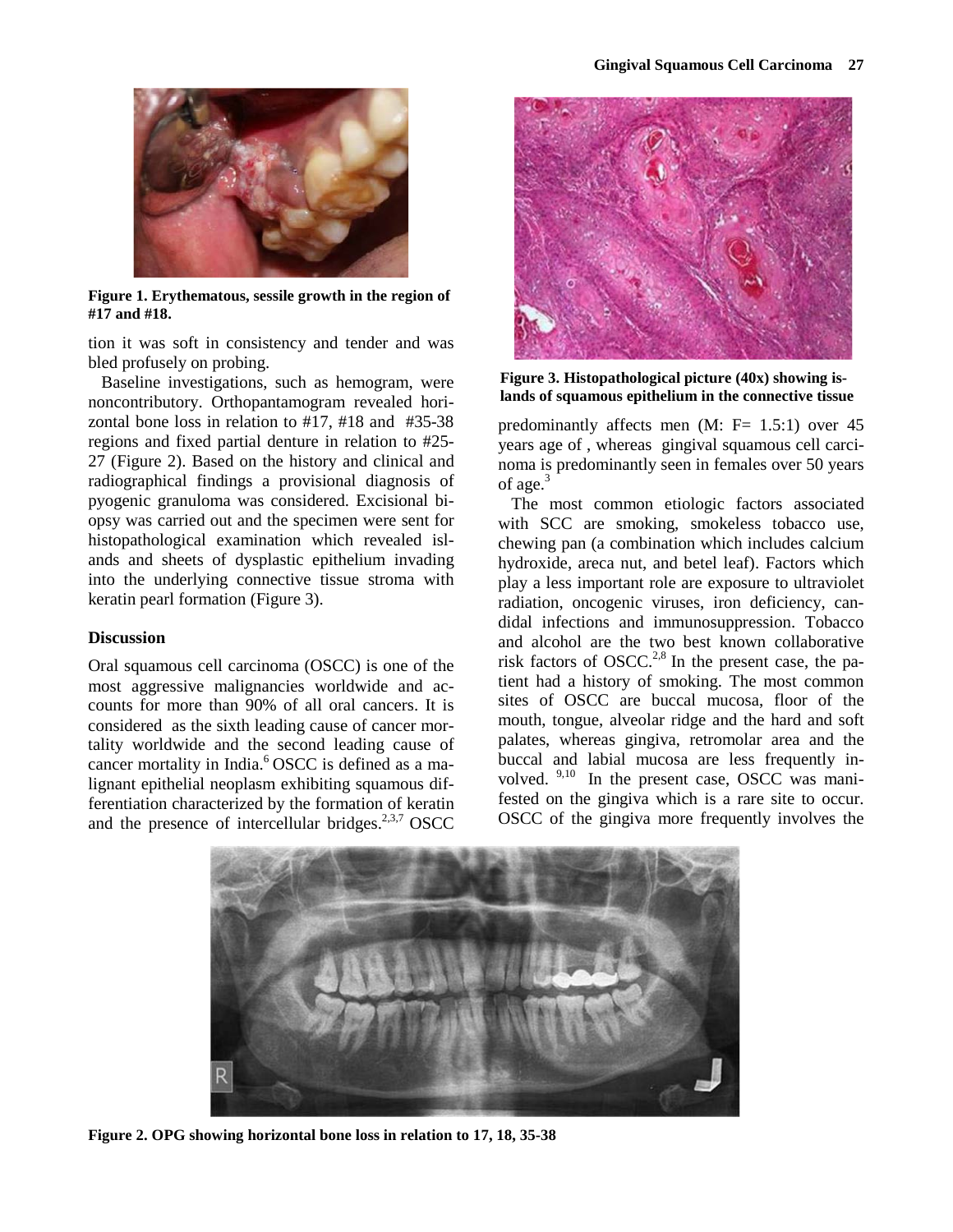

**Figure 1. Erythematous, sessile growth in the region of #17 and #18.**

tion it was soft in consistency and tender and was bled profusely on probing.

Baseline investigations, such as hemogram, were noncontributory. Orthopantamogram revealed horizontal bone loss in relation to #17, #18 and #35-38 regions and fixed partial denture in relation to #25- 27 (Figure 2). Based on the history and clinical and radiographical findings a provisional diagnosis of pyogenic granuloma was considered. Excisional biopsy was carried out and the specimen were sent for histopathological examination which revealed islands and sheets of dysplastic epithelium invading into the underlying connective tissue stroma with keratin pearl formation (Figure 3).

## **Discussion**

Oral squamous cell carcinoma (OSCC) is one of the most aggressive malignancies worldwide and accounts for more than 90% of all oral cancers. It is considered as the sixth leading cause of cancer mortality worldwide and the second leading cause of cancer mortality in India.<sup>6</sup> OSCC is defined as a malignant epithelial neoplasm exhibiting squamous differentiation characterized by the formation of keratin and the presence of intercellular bridges. $2,3,7$  OSCC



**Figure 3. Histopathological picture (40x) showing islands of squamous epithelium in the connective tissue**

predominantly affects men (M: F= 1.5:1) over 45 years age of , whereas gingival squamous cell carcinoma is predominantly seen in females over 50 years of age.<sup>3</sup>

The most common etiologic factors associated with SCC are smoking, smokeless tobacco use, chewing pan (a combination which includes calcium hydroxide, areca nut, and betel leaf). Factors which play a less important role are exposure to ultraviolet radiation, oncogenic viruses, iron deficiency, candidal infections and immunosuppression. Tobacco and alcohol are the two best known collaborative risk factors of OSCC.<sup>2,8</sup> In the present case, the patient had a history of smoking. The most common sites of OSCC are buccal mucosa, floor of the mouth, tongue, alveolar ridge and the hard and soft palates, whereas gingiva, retromolar area and the buccal and labial mucosa are less frequently involved. 9,10 In the present case, OSCC was manifested on the gingiva which is a rare site to occur. OSCC of the gingiva more frequently involves the



**Figure 2. OPG showing horizontal bone loss in relation to 17, 18, 35-38**